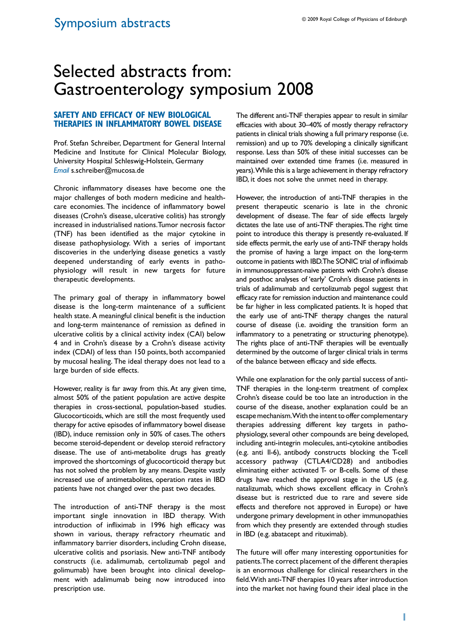# Selected abstracts from: Gastroenterology symposium 2008

# **SAFETY AND EFFICACY OF NEW BIOLOGICAL THERAPIES IN INFLAMMATORY BOWEL DISEASE**

Prof. Stefan Schreiber, Department for General Internal Medicine and Institute for Clinical Molecular Biology, University Hospital Schleswig-Holstein, Germany *Email* s.schreiber@mucosa.de

Chronic inflammatory diseases have become one the major challenges of both modern medicine and healthcare economies. The incidence of inflammatory bowel diseases (Crohn's disease, ulcerative colitis) has strongly increased in industrialised nations. Tumor necrosis factor (TNF) has been identified as the major cytokine in disease pathophysiology. With a series of important discoveries in the underlying disease genetics a vastly deepened understanding of early events in pathophysiology will result in new targets for future therapeutic developments.

The primary goal of therapy in inflammatory bowel disease is the long-term maintenance of a sufficient health state. A meaningful clinical benefit is the induction and long-term maintenance of remission as defined in ulcerative colitis by a clinical activity index (CAI) below 4 and in Crohn's disease by a Crohn's disease activity index (CDAI) of less than 150 points, both accompanied by mucosal healing. The ideal therapy does not lead to a large burden of side effects.

However, reality is far away from this. At any given time, almost 50% of the patient population are active despite therapies in cross-sectional, population-based studies. Glucocorticoids, which are still the most frequently used therapy for active episodes of inflammatory bowel disease (IBD), induce remission only in 50% of cases. The others become steroid-dependent or develop steroid refractory disease. The use of anti-metabolite drugs has greatly improved the shortcomings of glucocorticoid therapy but has not solved the problem by any means. Despite vastly increased use of antimetabolites, operation rates in IBD patients have not changed over the past two decades.

The introduction of anti-TNF therapy is the most important single innovation in IBD therapy. With introduction of infliximab in 1996 high efficacy was shown in various, therapy refractory rheumatic and inflammatory barrier disorders, including Crohn disease, ulcerative colitis and psoriasis. New anti-TNF antibody constructs (i.e. adalimumab, certolizumab pegol and golimumab) have been brought into clinical development with adalimumab being now introduced into prescription use.

The different anti-TNF therapies appear to result in similar efficacies with about 30–40% of mostly therapy refractory patients in clinical trials showing a full primary response (i.e. remission) and up to 70% developing a clinically significant response. Less than 50% of these initial successes can be maintained over extended time frames (i.e. measured in years). While this is a large achievement in therapy refractory IBD, it does not solve the unmet need in therapy.

However, the introduction of anti-TNF therapies in the present therapeutic scenario is late in the chronic development of disease. The fear of side effects largely dictates the late use of anti-TNF therapies. The right time point to introduce this therapy is presently re-evaluated. If side effects permit, the early use of anti-TNF therapy holds the promise of having a large impact on the long-term outcome in patients with IBD. The SONIC trial of infliximab in immunosuppressant-naive patients with Crohn's disease and posthoc analyses of 'early' Crohn's disease patients in trials of adalimumab and certolizumab pegol suggest that efficacy rate for remission induction and maintenance could be far higher in less complicated patients. It is hoped that the early use of anti-TNF therapy changes the natural course of disease (i.e. avoiding the transition form an inflammatory to a penetrating or structuring phenotype). The rights place of anti-TNF therapies will be eventually determined by the outcome of larger clinical trials in terms of the balance between efficacy and side effects.

While one explanation for the only partial success of anti-TNF therapies in the long-term treatment of complex Crohn's disease could be too late an introduction in the course of the disease, another explanation could be an escape mechanism. With the intent to offer complementary therapies addressing different key targets in pathophysiology, several other compounds are being developed, including anti-integrin molecules, anti-cytokine antibodies (e.g. anti Il-6), antibody constructs blocking the T-cell accessory pathway (CTLA4/CD28) and antibodies eliminating either activated T- or B-cells. Some of these drugs have reached the approval stage in the US (e.g. natalizumab, which shows excellent efficacy in Crohn's disease but is restricted due to rare and severe side effects and therefore not approved in Europe) or have undergone primary development in other immunopathies from which they presently are extended through studies in IBD (e.g. abatacept and rituximab).

The future will offer many interesting opportunities for patients. The correct placement of the different therapies is an enormous challenge for clinical researchers in the field. With anti-TNF therapies 10 years after introduction into the market not having found their ideal place in the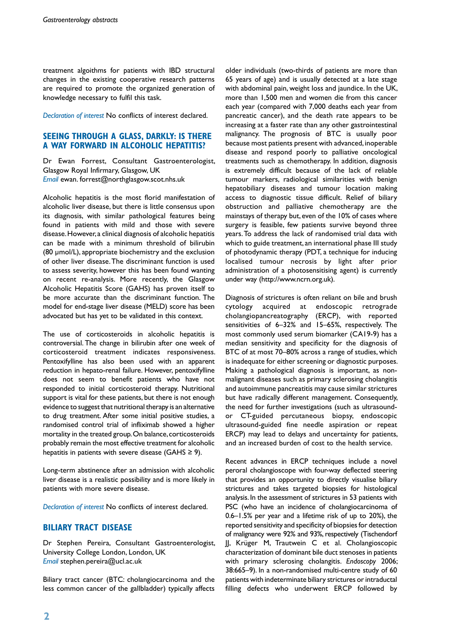treatment algoithms for patients with IBD structural changes in the existing cooperative research patterns are required to promote the organized generation of knowledge necessary to fulfil this task.

*Declaration of interest* No conflicts of interest declared.

# **SEEING THROUGH A GLASS, DARKLY: IS THERE A WAY FORWARD IN ALCOHOLIC HEPATITIS?**

Dr Ewan Forrest, Consultant Gastroenterologist, Glasgow Royal Infirmary, Glasgow, UK *Email* ewan. forrest@northglasgow.scot.nhs.uk

Alcoholic hepatitis is the most florid manifestation of alcoholic liver disease, but there is little consensus upon its diagnosis, with similar pathological features being found in patients with mild and those with severe disease. However, a clinical diagnosis of alcoholic hepatitis can be made with a minimum threshold of bilirubin (80 μmol/L), appropriate biochemistry and the exclusion of other liver disease. The discriminant function is used to assess severity, however this has been found wanting on recent re-analysis. More recently, the Glasgow Alcoholic Hepatitis Score (GAHS) has proven itself to be more accurate than the discriminant function. The model for end-stage liver disease (MELD) score has been advocated but has yet to be validated in this context.

The use of corticosteroids in alcoholic hepatitis is controversial. The change in bilirubin after one week of corticosteroid treatment indicates responsiveness. Pentoxifylline has also been used with an apparent reduction in hepato-renal failure. However, pentoxifylline does not seem to benefit patients who have not responded to initial corticosteroid therapy. Nutritional support is vital for these patients, but there is not enough evidence to suggest that nutritional therapy is an alternative to drug treatment. After some initial positive studies, a randomised control trial of infliximab showed a higher mortality in the treated group. On balance, corticosteroids probably remain the most effective treatment for alcoholic hepatitis in patients with severe disease (GAHS  $\geq$  9).

Long-term abstinence after an admission with alcoholic liver disease is a realistic possibility and is more likely in patients with more severe disease.

*Declaration of interest* No conflicts of interest declared.

# **BILIARY TRACT DISEASE**

Dr Stephen Pereira, Consultant Gastroenterologist, University College London, London, UK *Email* stephen.pereira@ucl.ac.uk

Biliary tract cancer (BTC: cholangiocarcinoma and the less common cancer of the gallbladder) typically affects

older individuals (two-thirds of patients are more than 65 years of age) and is usually detected at a late stage with abdominal pain, weight loss and jaundice. In the UK, more than 1,500 men and women die from this cancer each year (compared with 7,000 deaths each year from pancreatic cancer), and the death rate appears to be increasing at a faster rate than any other gastrointestinal malignancy. The prognosis of BTC is usually poor because most patients present with advanced, inoperable disease and respond poorly to palliative oncological treatments such as chemotherapy. In addition, diagnosis is extremely difficult because of the lack of reliable tumour markers, radiological similarities with benign hepatobiliary diseases and tumour location making access to diagnostic tissue difficult. Relief of biliary obstruction and palliative chemotherapy are the mainstays of therapy but, even of the 10% of cases where surgery is feasible, few patients survive beyond three years. To address the lack of randomised trial data with which to guide treatment, an international phase III study of photodynamic therapy (PDT, a technique for inducing localised tumour necrosis by light after prior administration of a photosensitising agent) is currently under way (http://www.ncrn.org.uk).

Diagnosis of strictures is often reliant on bile and brush cytology acquired at endoscopic retrograde cholangiopancreatography (ERCP), with reported sensitivities of 6–32% and 15–65%, respectively. The most commonly used serum biomarker (CA19-9) has a median sensitivity and specificity for the diagnosis of BTC of at most 70–80% across a range of studies, which is inadequate for either screening or diagnostic purposes. Making a pathological diagnosis is important, as nonmalignant diseases such as primary sclerosing cholangitis and autoimmune pancreatitis may cause similar strictures but have radically different management. Consequently, the need for further investigations (such as ultrasoundor CT-guided percutaneous biopsy, endoscopic ultrasound-guided fine needle aspiration or repeat ERCP) may lead to delays and uncertainty for patients, and an increased burden of cost to the health service.

Recent advances in ERCP techniques include a novel peroral cholangioscope with four-way deflected steering that provides an opportunity to directly visualise biliary strictures and takes targeted biopsies for histological analysis. In the assessment of strictures in 53 patients with PSC (who have an incidence of cholangiocarcinoma of 0.6–1.5% per year and a lifetime risk of up to 20%), the reported sensitivity and specificity of biopsies for detection of malignancy were 92% and 93%, respectively (Tischendorf JJ, Krüger M, Trautwein C et al. Cholangioscopic characterization of dominant bile duct stenoses in patients with primary sclerosing cholangitis. *Endoscopy* 2006; 38:665–9). In a non-randomised multi-centre study of 60 patients with indeterminate biliary strictures or intraductal filling defects who underwent ERCP followed by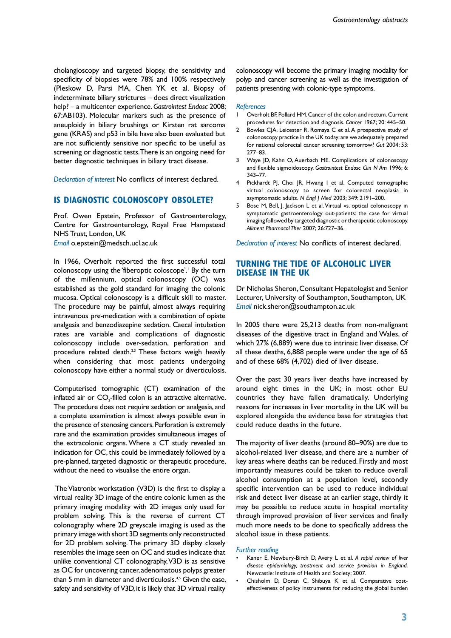cholangioscopy and targeted biopsy, the sensitivity and specificity of biopsies were 78% and 100% respectively (Pleskow D, Parsi MA, Chen YK et al. Biopsy of indeterminate biliary strictures – does direct visualization help? – a multicenter experience. *Gastrointest Endosc* 2008; 67:AB103). Molecular markers such as the presence of aneuploidy in biliary brushings or Kirsten rat sarcoma gene (KRAS) and p53 in bile have also been evaluated but are not sufficiently sensitive nor specific to be useful as screening or diagnostic tests. There is an ongoing need for better diagnostic techniques in biliary tract disease.

*Declaration of interest* No conflicts of interest declared.

## **IS DIAGNOSTIC COLONOSCOPY OBSOLETE?**

Prof. Owen Epstein, Professor of Gastroenterology, Centre for Gastroenterology, Royal Free Hampstead NHS Trust, London, UK *Email* o.epstein@medsch.ucl.ac.uk

In 1966, Overholt reported the first successful total colonoscopy using the 'fiberoptic coloscope'.<sup>1</sup> By the turn of the millennium, optical colonoscopy (OC) was established as the gold standard for imaging the colonic mucosa. Optical colonoscopy is a difficult skill to master. The procedure may be painful, almost always requiring intravenous pre-medication with a combination of opiate analgesia and benzodiazepine sedation. Caecal intubation rates are variable and complications of diagnostic colonoscopy include over-sedation, perforation and procedure related death.<sup>2,3</sup> These factors weigh heavily when considering that most patients undergoing colonoscopy have either a normal study or diverticulosis.

Computerised tomographic (CT) examination of the inflated air or CO<sub>2</sub>-filled colon is an attractive alternative. The procedure does not require sedation or analgesia, and a complete examination is almost always possible even in the presence of stenosing cancers. Perforation is extremely rare and the examination provides simultaneous images of the extracolonic organs. Where a CT study revealed an indication for OC, this could be immediately followed by a pre-planned, targeted diagnostic or therapeutic procedure, without the need to visualise the entire organ.

 The Viatronix workstation (V3D) is the first to display a virtual reality 3D image of the entire colonic lumen as the primary imaging modality with 2D images only used for problem solving. This is the reverse of current CT colonography where 2D greyscale imaging is used as the primary image with short 3D segments only reconstructed for 2D problem solving. The primary 3D display closely resembles the image seen on OC and studies indicate that unlike conventional CT colonography, V3D is as sensitive as OC for uncovering cancer, adenomatous polyps greater than 5 mm in diameter and diverticulosis.<sup>4,5</sup> Given the ease, safety and sensitivity of V3D, it is likely that 3D virtual reality

colonoscopy will become the primary imaging modality for polyp and cancer screening as well as the investigation of patients presenting with colonic-type symptoms.

#### *References*

- 1 Overholt BF, Pollard HM. Cancer of the colon and rectum. Current procedures for detection and diagnosis. *Cancer* 1967; 20: 445–50.
- 2 Bowles CJA, Leicester R, Romaya C et al. A prospective study of colonoscopy practice in the UK today: are we adequately prepared for national colorectal cancer screening tomorrow? *Gut* 2004; 53: 277–83.
- 3 Waye JD, Kahn O, Auerbach ME. Complications of colonoscopy and flexible sigmoidoscopy. *Gastrointest Endosc Clin N Am* 1996; 6: 343–77.
- 4 Pickhardt PJ, Choi JR, Hwang I et al. Computed tomographic virtual colonoscopy to screen for colorectal neoplasia in asymptomatic adults. *N Engl J Med* 2003; 349: 2191–200.
- 5 Bose M, Bell, J. Jackson L et al. Virtual vs. optical colonoscopy in symptomatic gastroenterology out-patients: the case for virtual imaging followed by targeted diagnostic or therapeutic colonoscopy. *Aliment Pharmacol Ther* 2007; 26:727–36.

*Declaration of interest* No conflicts of interest declared.

# **TURNING THE TIDE OF ALCOHOLIC LIVER DISEASE IN THE UK**

Dr Nicholas Sheron, Consultant Hepatologist and Senior Lecturer, University of Southampton, Southampton, UK *Email* nick.sheron@southampton.ac.uk

In 2005 there were 25,213 deaths from non-malignant diseases of the digestive tract in England and Wales, of which 27% (6,889) were due to intrinsic liver disease. Of all these deaths, 6,888 people were under the age of 65 and of these 68% (4,702) died of liver disease.

Over the past 30 years liver deaths have increased by around eight times in the UK; in most other EU countries they have fallen dramatically. Underlying reasons for increases in liver mortality in the UK will be explored alongside the evidence base for strategies that could reduce deaths in the future.

The majority of liver deaths (around 80–90%) are due to alcohol-related liver disease, and there are a number of key areas where deaths can be reduced. Firstly and most importantly measures could be taken to reduce overall alcohol consumption at a population level, secondly specific intervention can be used to reduce individual risk and detect liver disease at an earlier stage, thirdly it may be possible to reduce acute in hospital mortality through improved provision of liver services and finally much more needs to be done to specifically address the alcohol issue in these patients.

#### *Further reading*

- Kaner E, Newbury-Birch D, Avery L et al. *A rapid review of liver disease epidemiology, treatment and service provision in England.* Newcastle: Institute of Health and Society; 2007.
- Chisholm D, Doran C, Shibuya K et al. Comparative costeffectiveness of policy instruments for reducing the global burden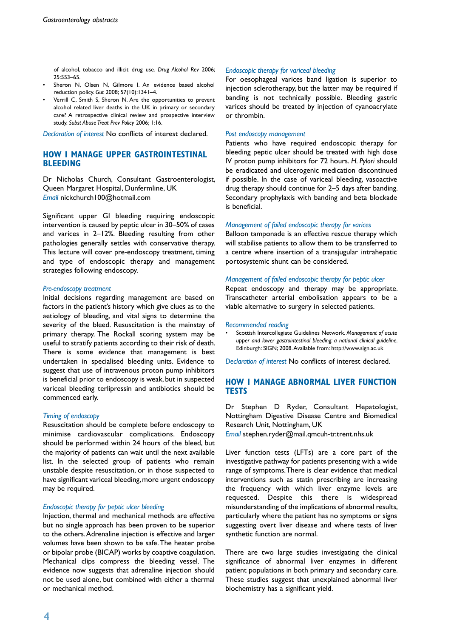of alcohol, tobacco and illicit drug use. *Drug Alcohol Rev* 2006; 25:553–65.

- Sheron N, Olsen N, Gilmore I. An evidence based alcohol reduction policy. *Gut* 2008; 57(10):1341–4.
- Verrill C, Smith S, Sheron N. Are the opportunities to prevent alcohol related liver deaths in the UK in primary or secondary care? A retrospective clinical review and prospective interview study. *Subst Abuse Treat Prev Policy* 2006; 1:16.

*Declaration of interest* No conflicts of interest declared.

# **How I manage Upper Gastrointestinal BI FEDING**

Dr Nicholas Church, Consultant Gastroenterologist, Queen Margaret Hospital, Dunfermline, UK *Email* nickchurch100@hotmail.com

Significant upper GI bleeding requiring endoscopic intervention is caused by peptic ulcer in 30–50% of cases and varices in 2–12%. Bleeding resulting from other pathologies generally settles with conservative therapy. This lecture will cover pre-endoscopy treatment, timing and type of endoscopic therapy and management strategies following endoscopy.

#### *Pre-endoscopy treatment*

Initial decisions regarding management are based on factors in the patient's history which give clues as to the aetiology of bleeding, and vital signs to determine the severity of the bleed. Resuscitation is the mainstay of primary therapy. The Rockall scoring system may be useful to stratify patients according to their risk of death. There is some evidence that management is best undertaken in specialised bleeding units. Evidence to suggest that use of intravenous proton pump inhibitors is beneficial prior to endoscopy is weak, but in suspected variceal bleeding terlipressin and antibiotics should be commenced early.

## *Timing of endoscopy*

Resuscitation should be complete before endoscopy to minimise cardiovascular complications. Endoscopy should be performed within 24 hours of the bleed, but the majority of patients can wait until the next available list. In the selected group of patients who remain unstable despite resuscitation, or in those suspected to have significant variceal bleeding, more urgent endoscopy may be required.

### *Endoscopic therapy for peptic ulcer bleeding*

Injection, thermal and mechanical methods are effective but no single approach has been proven to be superior to the others. Adrenaline injection is effective and larger volumes have been shown to be safe. The heater probe or bipolar probe (BICAP) works by coaptive coagulation. Mechanical clips compress the bleeding vessel. The evidence now suggests that adrenaline injection should not be used alone, but combined with either a thermal or mechanical method.

#### *Endoscopic therapy for variceal bleeding*

For oesophageal varices band ligation is superior to injection sclerotherapy, but the latter may be required if banding is not technically possible. Bleeding gastric varices should be treated by injection of cyanoacrylate or thrombin.

#### *Post endoscopy management*

Patients who have required endoscopic therapy for bleeding peptic ulcer should be treated with high dose IV proton pump inhibitors for 72 hours. *H. Pylori* should be eradicated and ulcerogenic medication discontinued if possible. In the case of variceal bleeding, vasoactive drug therapy should continue for 2–5 days after banding. Secondary prophylaxis with banding and beta blockade is beneficial.

#### *Management of failed endoscopic therapy for varices*

Balloon tamponade is an effective rescue therapy which will stabilise patients to allow them to be transferred to a centre where insertion of a transjugular intrahepatic portosystemic shunt can be considered.

## *Management of failed endoscopic therapy for peptic ulcer*

Repeat endoscopy and therapy may be appropriate. Transcatheter arterial embolisation appears to be a viable alternative to surgery in selected patients.

#### *Recommended reading*

• Scottish Intercollegiate Guidelines Network. *Management of acute upper and lower gastrointestinal bleeding: a national clinical guideline.*  Edinburgh: SIGN; 2008. Available from: http://www.sign.ac.uk

*Declaration of interest* No conflicts of interest declared.

#### **How I Manage Abnormal Liver function TESTS tests**

Dr Stephen D Ryder, Consultant Hepatologist, Nottingham Digestive Disease Centre and Biomedical Research Unit, Nottingham, UK

*Email* stephen.ryder@mail.qmcuh-tr.trent.nhs.uk

Liver function tests (LFTs) are a core part of the investigative pathway for patients presenting with a wide range of symptoms. There is clear evidence that medical interventions such as statin prescribing are increasing the frequency with which liver enzyme levels are requested. Despite this there is widespread misunderstanding of the implications of abnormal results, particularly where the patient has no symptoms or signs suggesting overt liver disease and where tests of liver synthetic function are normal.

There are two large studies investigating the clinical significance of abnormal liver enzymes in different patient populations in both primary and secondary care. These studies suggest that unexplained abnormal liver biochemistry has a significant yield.